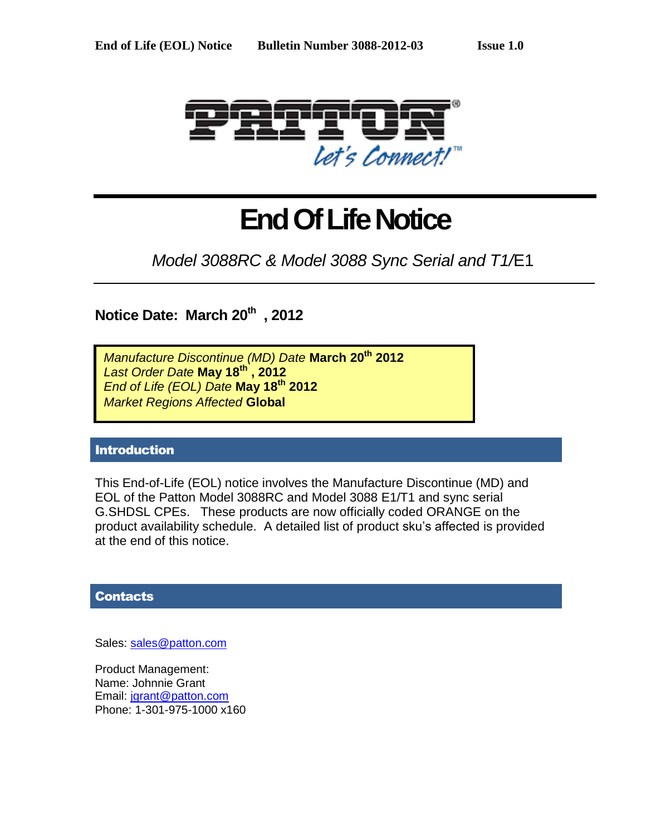

# **End Of Life Notice**

*Model 3088RC & Model 3088 Sync Serial and T1/*E1

**Notice Date: March 20th , 2012**

*Manufacture Discontinue (MD) Date* **March 20th 2012** *Last Order Date* **May 18 th , 2012** *End of Life (EOL) Date* **May 18 th 2012** *Market Regions Affected* **Global**

## Introduction

This End-of-Life (EOL) notice involves the Manufacture Discontinue (MD) and EOL of the Patton Model 3088RC and Model 3088 E1/T1 and sync serial G.SHDSL CPEs. These products are now officially coded ORANGE on the product availability schedule. A detailed list of product sku's affected is provided at the end of this notice.

### **Contacts**

Sales: [sales@patton.com](mailto:sales@patton.com)

Product Management: Name: Johnnie Grant Email: [jgrant@patton.com](mailto:jgrant@patton.com) Phone: 1-301-975-1000 x160